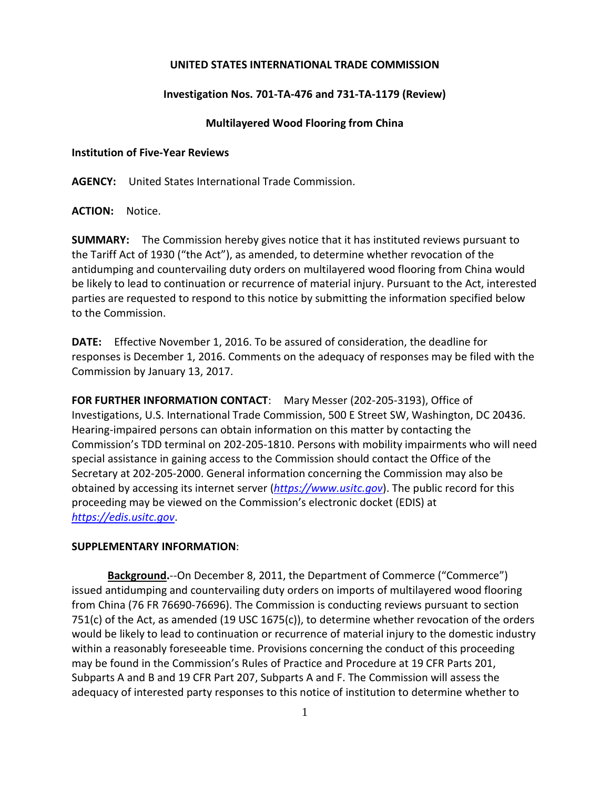### **UNITED STATES INTERNATIONAL TRADE COMMISSION**

# **Investigation Nos. 701-TA-476 and 731-TA-1179 (Review)**

## **Multilayered Wood Flooring from China**

#### **Institution of Five-Year Reviews**

**AGENCY:** United States International Trade Commission.

# **ACTION:** Notice.

**SUMMARY:** The Commission hereby gives notice that it has instituted reviews pursuant to the Tariff Act of 1930 ("the Act"), as amended, to determine whether revocation of the antidumping and countervailing duty orders on multilayered wood flooring from China would be likely to lead to continuation or recurrence of material injury. Pursuant to the Act, interested parties are requested to respond to this notice by submitting the information specified below to the Commission.

**DATE:** Effective November 1, 2016. To be assured of consideration, the deadline for responses is December 1, 2016. Comments on the adequacy of responses may be filed with the Commission by January 13, 2017.

**FOR FURTHER INFORMATION CONTACT**: Mary Messer (202-205-3193), Office of Investigations, U.S. International Trade Commission, 500 E Street SW, Washington, DC 20436. Hearing-impaired persons can obtain information on this matter by contacting the Commission's TDD terminal on 202-205-1810. Persons with mobility impairments who will need special assistance in gaining access to the Commission should contact the Office of the Secretary at 202-205-2000. General information concerning the Commission may also be obtained by accessing its internet server (*[https://www.usitc.gov](https://www.usitc.gov/)*). The public record for this proceeding may be viewed on the Commission's electronic docket (EDIS) at *[https://edis.usitc.gov](https://edis.usitc.gov/)*.

### **SUPPLEMENTARY INFORMATION**:

**Background.**--On December 8, 2011, the Department of Commerce ("Commerce") issued antidumping and countervailing duty orders on imports of multilayered wood flooring from China (76 FR 76690-76696). The Commission is conducting reviews pursuant to section 751(c) of the Act, as amended (19 USC 1675(c)), to determine whether revocation of the orders would be likely to lead to continuation or recurrence of material injury to the domestic industry within a reasonably foreseeable time. Provisions concerning the conduct of this proceeding may be found in the Commission's Rules of Practice and Procedure at 19 CFR Parts 201, Subparts A and B and 19 CFR Part 207, Subparts A and F. The Commission will assess the adequacy of interested party responses to this notice of institution to determine whether to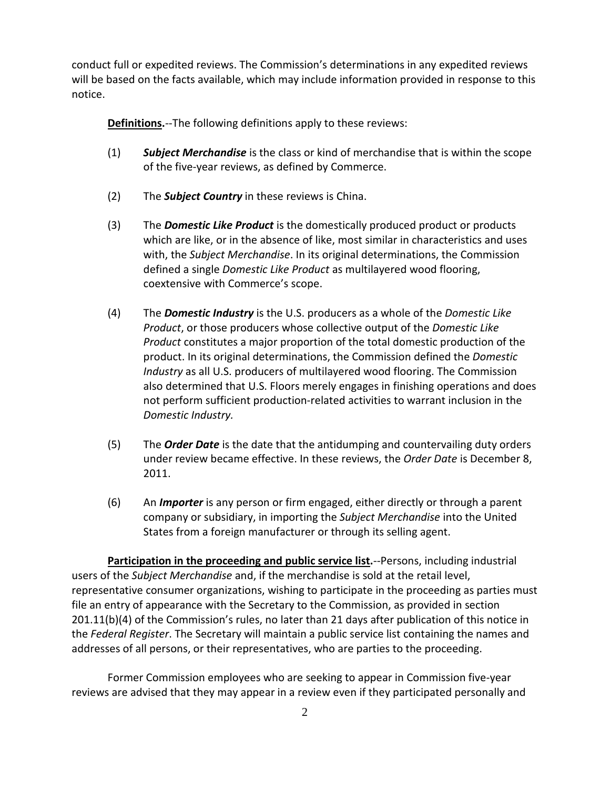conduct full or expedited reviews. The Commission's determinations in any expedited reviews will be based on the facts available, which may include information provided in response to this notice.

**Definitions.**--The following definitions apply to these reviews:

- (1) *Subject Merchandise* is the class or kind of merchandise that is within the scope of the five-year reviews, as defined by Commerce.
- (2) The *Subject Country* in these reviews is China.
- (3) The *Domestic Like Product* is the domestically produced product or products which are like, or in the absence of like, most similar in characteristics and uses with, the *Subject Merchandise*. In its original determinations, the Commission defined a single *Domestic Like Product* as multilayered wood flooring, coextensive with Commerce's scope.
- (4) The *Domestic Industry* is the U.S. producers as a whole of the *Domestic Like Product*, or those producers whose collective output of the *Domestic Like Product* constitutes a major proportion of the total domestic production of the product. In its original determinations, the Commission defined the *Domestic Industry* as all U.S. producers of multilayered wood flooring. The Commission also determined that U.S. Floors merely engages in finishing operations and does not perform sufficient production-related activities to warrant inclusion in the *Domestic Industry.*
- (5) The *Order Date* is the date that the antidumping and countervailing duty orders under review became effective. In these reviews, the *Order Date* is December 8, 2011.
- (6) An *Importer* is any person or firm engaged, either directly or through a parent company or subsidiary, in importing the *Subject Merchandise* into the United States from a foreign manufacturer or through its selling agent.

**Participation in the proceeding and public service list.**--Persons, including industrial users of the *Subject Merchandise* and, if the merchandise is sold at the retail level, representative consumer organizations, wishing to participate in the proceeding as parties must file an entry of appearance with the Secretary to the Commission, as provided in section 201.11(b)(4) of the Commission's rules, no later than 21 days after publication of this notice in the *Federal Register*. The Secretary will maintain a public service list containing the names and addresses of all persons, or their representatives, who are parties to the proceeding.

Former Commission employees who are seeking to appear in Commission five-year reviews are advised that they may appear in a review even if they participated personally and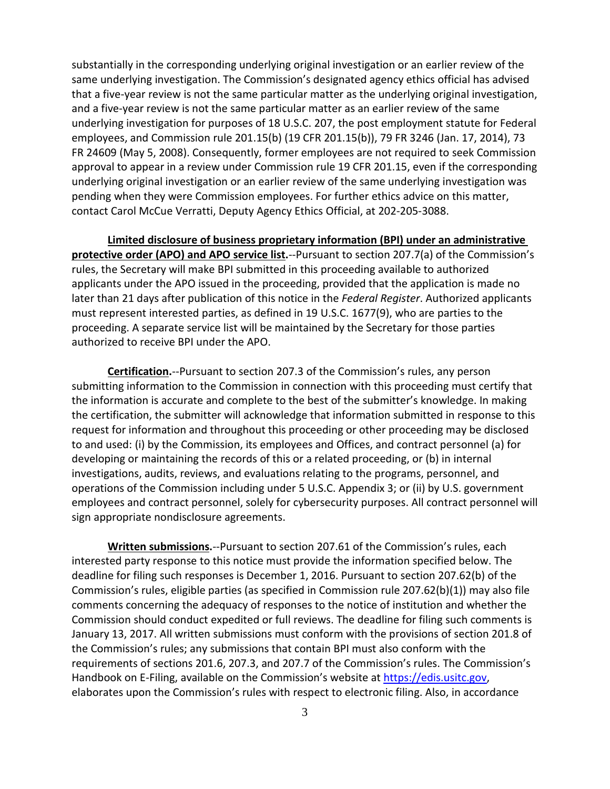substantially in the corresponding underlying original investigation or an earlier review of the same underlying investigation. The Commission's designated agency ethics official has advised that a five-year review is not the same particular matter as the underlying original investigation, and a five-year review is not the same particular matter as an earlier review of the same underlying investigation for purposes of 18 U.S.C. 207, the post employment statute for Federal employees, and Commission rule 201.15(b) (19 CFR 201.15(b)), 79 FR 3246 (Jan. 17, 2014), 73 FR 24609 (May 5, 2008). Consequently, former employees are not required to seek Commission approval to appear in a review under Commission rule 19 CFR 201.15, even if the corresponding underlying original investigation or an earlier review of the same underlying investigation was pending when they were Commission employees. For further ethics advice on this matter, contact Carol McCue Verratti, Deputy Agency Ethics Official, at 202-205-3088.

**Limited disclosure of business proprietary information (BPI) under an administrative protective order (APO) and APO service list.**--Pursuant to section 207.7(a) of the Commission's rules, the Secretary will make BPI submitted in this proceeding available to authorized applicants under the APO issued in the proceeding, provided that the application is made no later than 21 days after publication of this notice in the *Federal Register*. Authorized applicants must represent interested parties, as defined in 19 U.S.C. 1677(9), who are parties to the proceeding. A separate service list will be maintained by the Secretary for those parties authorized to receive BPI under the APO.

**Certification.**--Pursuant to section 207.3 of the Commission's rules, any person submitting information to the Commission in connection with this proceeding must certify that the information is accurate and complete to the best of the submitter's knowledge. In making the certification, the submitter will acknowledge that information submitted in response to this request for information and throughout this proceeding or other proceeding may be disclosed to and used: (i) by the Commission, its employees and Offices, and contract personnel (a) for developing or maintaining the records of this or a related proceeding, or (b) in internal investigations, audits, reviews, and evaluations relating to the programs, personnel, and operations of the Commission including under 5 U.S.C. Appendix 3; or (ii) by U.S. government employees and contract personnel, solely for cybersecurity purposes. All contract personnel will sign appropriate nondisclosure agreements.

**Written submissions.**--Pursuant to section 207.61 of the Commission's rules, each interested party response to this notice must provide the information specified below. The deadline for filing such responses is December 1, 2016. Pursuant to section 207.62(b) of the Commission's rules, eligible parties (as specified in Commission rule 207.62(b)(1)) may also file comments concerning the adequacy of responses to the notice of institution and whether the Commission should conduct expedited or full reviews. The deadline for filing such comments is January 13, 2017. All written submissions must conform with the provisions of section 201.8 of the Commission's rules; any submissions that contain BPI must also conform with the requirements of sections 201.6, 207.3, and 207.7 of the Commission's rules. The Commission's Handbook on E-Filing, available on the Commission's website at [https://edis.usitc.gov,](https://edis.usitc.gov/) elaborates upon the Commission's rules with respect to electronic filing. Also, in accordance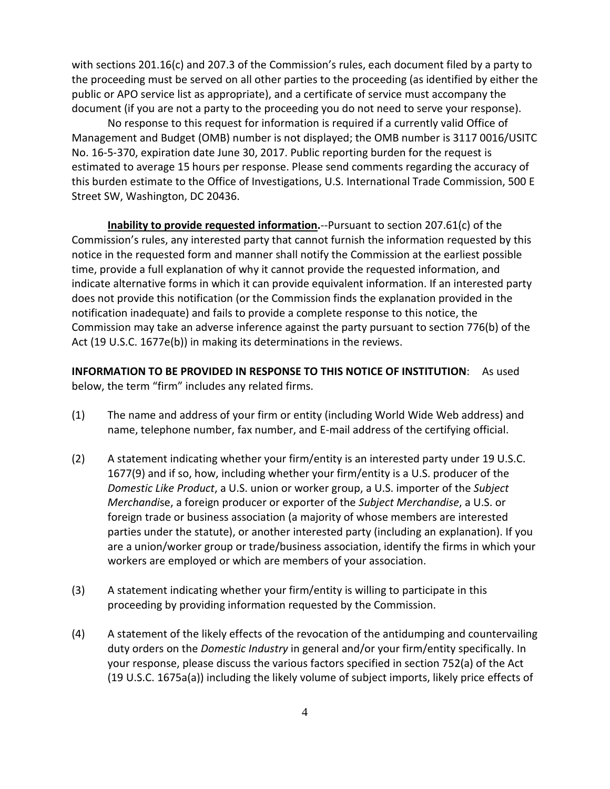with sections 201.16(c) and 207.3 of the Commission's rules, each document filed by a party to the proceeding must be served on all other parties to the proceeding (as identified by either the public or APO service list as appropriate), and a certificate of service must accompany the document (if you are not a party to the proceeding you do not need to serve your response).

No response to this request for information is required if a currently valid Office of Management and Budget (OMB) number is not displayed; the OMB number is 3117 0016/USITC No. 16-5-370, expiration date June 30, 2017. Public reporting burden for the request is estimated to average 15 hours per response. Please send comments regarding the accuracy of this burden estimate to the Office of Investigations, U.S. International Trade Commission, 500 E Street SW, Washington, DC 20436.

**Inability to provide requested information.**--Pursuant to section 207.61(c) of the Commission's rules, any interested party that cannot furnish the information requested by this notice in the requested form and manner shall notify the Commission at the earliest possible time, provide a full explanation of why it cannot provide the requested information, and indicate alternative forms in which it can provide equivalent information. If an interested party does not provide this notification (or the Commission finds the explanation provided in the notification inadequate) and fails to provide a complete response to this notice, the Commission may take an adverse inference against the party pursuant to section 776(b) of the Act (19 U.S.C. 1677e(b)) in making its determinations in the reviews.

**INFORMATION TO BE PROVIDED IN RESPONSE TO THIS NOTICE OF INSTITUTION**: As used below, the term "firm" includes any related firms.

- (1) The name and address of your firm or entity (including World Wide Web address) and name, telephone number, fax number, and E-mail address of the certifying official.
- (2) A statement indicating whether your firm/entity is an interested party under 19 U.S.C. 1677(9) and if so, how, including whether your firm/entity is a U.S. producer of the *Domestic Like Product*, a U.S. union or worker group, a U.S. importer of the *Subject Merchandi*se, a foreign producer or exporter of the *Subject Merchandise*, a U.S. or foreign trade or business association (a majority of whose members are interested parties under the statute), or another interested party (including an explanation). If you are a union/worker group or trade/business association, identify the firms in which your workers are employed or which are members of your association.
- (3) A statement indicating whether your firm/entity is willing to participate in this proceeding by providing information requested by the Commission.
- (4) A statement of the likely effects of the revocation of the antidumping and countervailing duty orders on the *Domestic Industry* in general and/or your firm/entity specifically. In your response, please discuss the various factors specified in section 752(a) of the Act (19 U.S.C. 1675a(a)) including the likely volume of subject imports, likely price effects of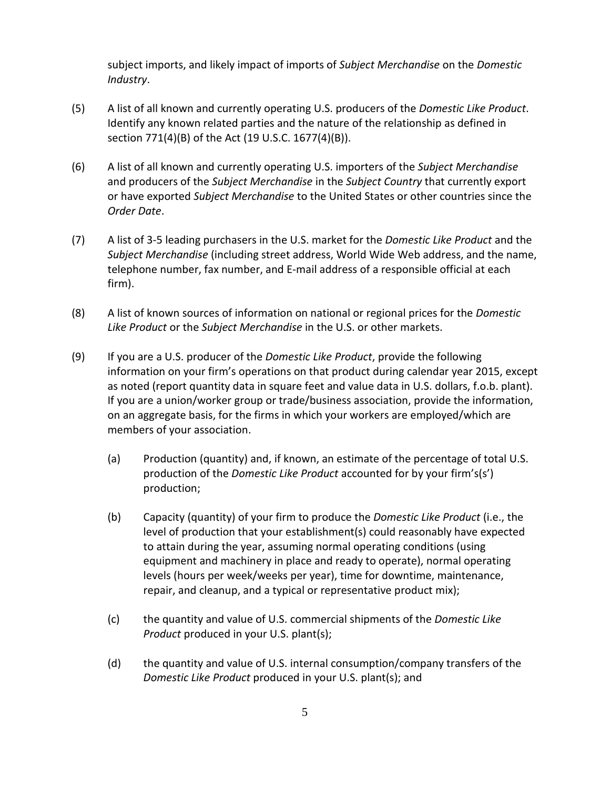subject imports, and likely impact of imports of *Subject Merchandise* on the *Domestic Industry*.

- (5) A list of all known and currently operating U.S. producers of the *Domestic Like Product*. Identify any known related parties and the nature of the relationship as defined in section 771(4)(B) of the Act (19 U.S.C. 1677(4)(B)).
- (6) A list of all known and currently operating U.S. importers of the *Subject Merchandise* and producers of the *Subject Merchandise* in the *Subject Country* that currently export or have exported *Subject Merchandise* to the United States or other countries since the *Order Date*.
- (7) A list of 3-5 leading purchasers in the U.S. market for the *Domestic Like Product* and the *Subject Merchandise* (including street address, World Wide Web address, and the name, telephone number, fax number, and E-mail address of a responsible official at each firm).
- (8) A list of known sources of information on national or regional prices for the *Domestic Like Product* or the *Subject Merchandise* in the U.S. or other markets.
- (9) If you are a U.S. producer of the *Domestic Like Product*, provide the following information on your firm's operations on that product during calendar year 2015, except as noted (report quantity data in square feet and value data in U.S. dollars, f.o.b. plant). If you are a union/worker group or trade/business association, provide the information, on an aggregate basis, for the firms in which your workers are employed/which are members of your association.
	- (a) Production (quantity) and, if known, an estimate of the percentage of total U.S. production of the *Domestic Like Product* accounted for by your firm's(s') production;
	- (b) Capacity (quantity) of your firm to produce the *Domestic Like Product* (i.e., the level of production that your establishment(s) could reasonably have expected to attain during the year, assuming normal operating conditions (using equipment and machinery in place and ready to operate), normal operating levels (hours per week/weeks per year), time for downtime, maintenance, repair, and cleanup, and a typical or representative product mix);
	- (c) the quantity and value of U.S. commercial shipments of the *Domestic Like Product* produced in your U.S. plant(s);
	- (d) the quantity and value of U.S. internal consumption/company transfers of the *Domestic Like Product* produced in your U.S. plant(s); and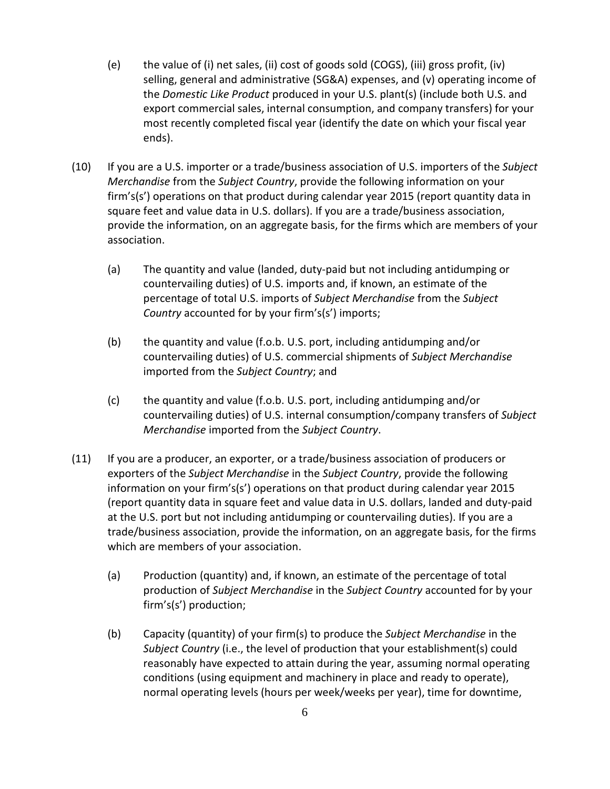- (e) the value of (i) net sales, (ii) cost of goods sold (COGS), (iii) gross profit, (iv) selling, general and administrative (SG&A) expenses, and (v) operating income of the *Domestic Like Product* produced in your U.S. plant(s) (include both U.S. and export commercial sales, internal consumption, and company transfers) for your most recently completed fiscal year (identify the date on which your fiscal year ends).
- (10) If you are a U.S. importer or a trade/business association of U.S. importers of the *Subject Merchandise* from the *Subject Country*, provide the following information on your firm's(s') operations on that product during calendar year 2015 (report quantity data in square feet and value data in U.S. dollars). If you are a trade/business association, provide the information, on an aggregate basis, for the firms which are members of your association.
	- (a) The quantity and value (landed, duty-paid but not including antidumping or countervailing duties) of U.S. imports and, if known, an estimate of the percentage of total U.S. imports of *Subject Merchandise* from the *Subject Country* accounted for by your firm's(s') imports;
	- (b) the quantity and value (f.o.b. U.S. port, including antidumping and/or countervailing duties) of U.S. commercial shipments of *Subject Merchandise* imported from the *Subject Country*; and
	- (c) the quantity and value (f.o.b. U.S. port, including antidumping and/or countervailing duties) of U.S. internal consumption/company transfers of *Subject Merchandise* imported from the *Subject Country*.
- (11) If you are a producer, an exporter, or a trade/business association of producers or exporters of the *Subject Merchandise* in the *Subject Country*, provide the following information on your firm's(s') operations on that product during calendar year 2015 (report quantity data in square feet and value data in U.S. dollars, landed and duty-paid at the U.S. port but not including antidumping or countervailing duties). If you are a trade/business association, provide the information, on an aggregate basis, for the firms which are members of your association.
	- (a) Production (quantity) and, if known, an estimate of the percentage of total production of *Subject Merchandise* in the *Subject Country* accounted for by your firm's(s') production;
	- (b) Capacity (quantity) of your firm(s) to produce the *Subject Merchandise* in the *Subject Country* (i.e., the level of production that your establishment(s) could reasonably have expected to attain during the year, assuming normal operating conditions (using equipment and machinery in place and ready to operate), normal operating levels (hours per week/weeks per year), time for downtime,